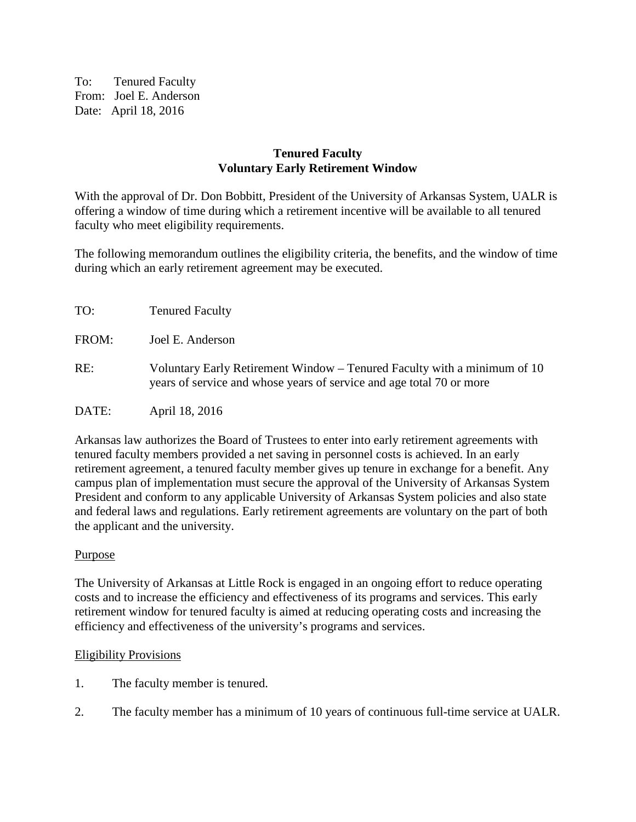To: Tenured Faculty From: Joel E. Anderson Date: April 18, 2016

## **Tenured Faculty Voluntary Early Retirement Window**

With the approval of Dr. Don Bobbitt, President of the University of Arkansas System, UALR is offering a window of time during which a retirement incentive will be available to all tenured faculty who meet eligibility requirements.

The following memorandum outlines the eligibility criteria, the benefits, and the window of time during which an early retirement agreement may be executed.

| TO:   | <b>Tenured Faculty</b>                                                                                                                           |
|-------|--------------------------------------------------------------------------------------------------------------------------------------------------|
| FROM: | Joel E. Anderson                                                                                                                                 |
| RE:   | Voluntary Early Retirement Window – Tenured Faculty with a minimum of 10<br>years of service and whose years of service and age total 70 or more |
| DATE: | April 18, 2016                                                                                                                                   |

Arkansas law authorizes the Board of Trustees to enter into early retirement agreements with tenured faculty members provided a net saving in personnel costs is achieved. In an early retirement agreement, a tenured faculty member gives up tenure in exchange for a benefit. Any campus plan of implementation must secure the approval of the University of Arkansas System President and conform to any applicable University of Arkansas System policies and also state and federal laws and regulations. Early retirement agreements are voluntary on the part of both the applicant and the university.

# Purpose

The University of Arkansas at Little Rock is engaged in an ongoing effort to reduce operating costs and to increase the efficiency and effectiveness of its programs and services. This early retirement window for tenured faculty is aimed at reducing operating costs and increasing the efficiency and effectiveness of the university's programs and services.

## Eligibility Provisions

- 1. The faculty member is tenured.
- 2. The faculty member has a minimum of 10 years of continuous full-time service at UALR.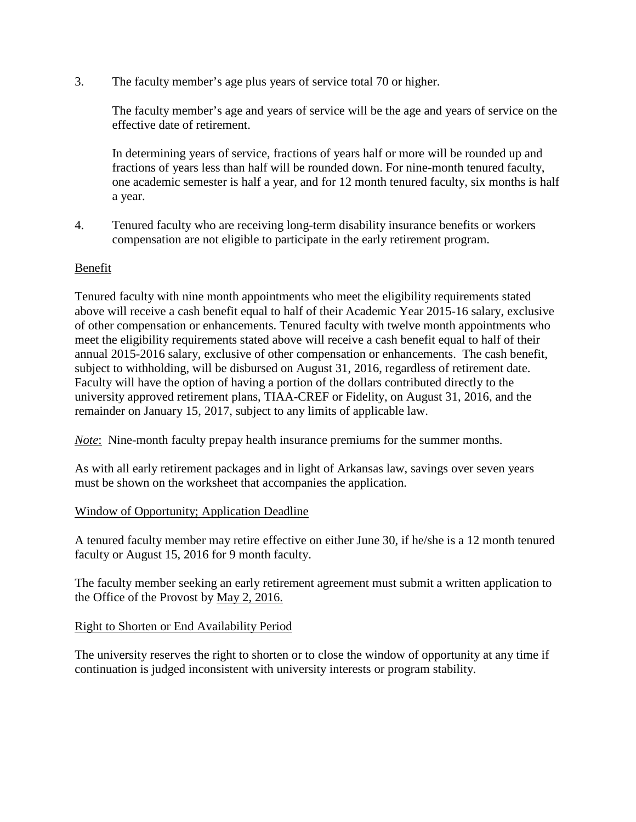3. The faculty member's age plus years of service total 70 or higher.

The faculty member's age and years of service will be the age and years of service on the effective date of retirement.

In determining years of service, fractions of years half or more will be rounded up and fractions of years less than half will be rounded down. For nine-month tenured faculty, one academic semester is half a year, and for 12 month tenured faculty, six months is half a year.

4. Tenured faculty who are receiving long-term disability insurance benefits or workers compensation are not eligible to participate in the early retirement program.

## Benefit

Tenured faculty with nine month appointments who meet the eligibility requirements stated above will receive a cash benefit equal to half of their Academic Year 2015-16 salary, exclusive of other compensation or enhancements. Tenured faculty with twelve month appointments who meet the eligibility requirements stated above will receive a cash benefit equal to half of their annual 2015-2016 salary, exclusive of other compensation or enhancements. The cash benefit, subject to withholding, will be disbursed on August 31, 2016, regardless of retirement date. Faculty will have the option of having a portion of the dollars contributed directly to the university approved retirement plans, TIAA-CREF or Fidelity, on August 31, 2016, and the remainder on January 15, 2017, subject to any limits of applicable law.

*Note*: Nine-month faculty prepay health insurance premiums for the summer months.

As with all early retirement packages and in light of Arkansas law, savings over seven years must be shown on the worksheet that accompanies the application.

# Window of Opportunity; Application Deadline

A tenured faculty member may retire effective on either June 30, if he/she is a 12 month tenured faculty or August 15, 2016 for 9 month faculty.

The faculty member seeking an early retirement agreement must submit a written application to the Office of the Provost by May 2, 2016.

## Right to Shorten or End Availability Period

The university reserves the right to shorten or to close the window of opportunity at any time if continuation is judged inconsistent with university interests or program stability.